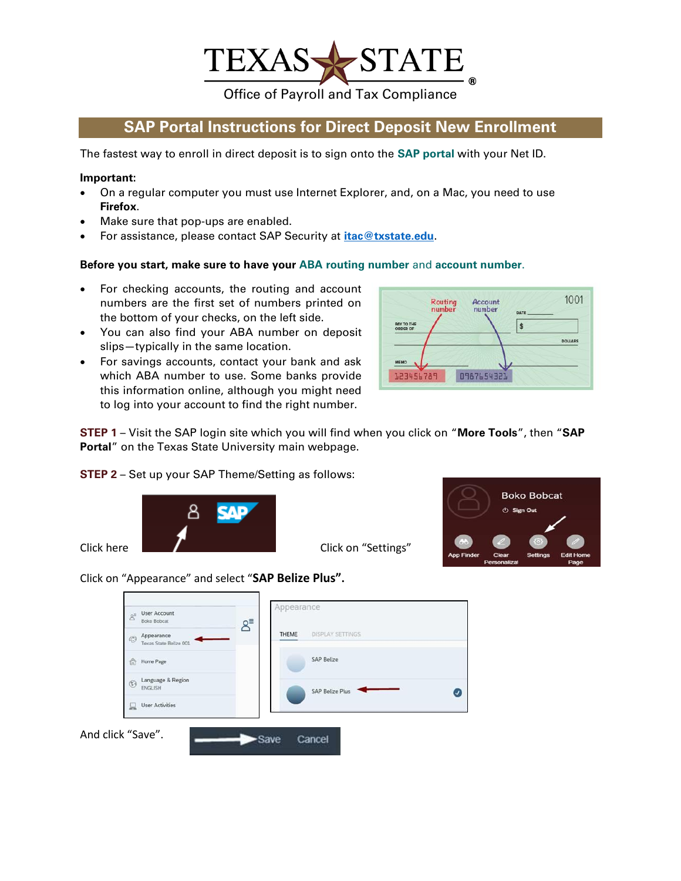

Office of Payroll and Tax Compliance

## **SAP Portal Instructions for Direct Deposit New Enrollment**

The fastest way to enroll in direct deposit is to sign onto the **SAP portal** with your Net ID.

## **Important:**

- On a regular computer you must use Internet Explorer, and, on a Mac, you need to use **Firefox**.
- Make sure that pop-ups are enabled.
- For assistance, please contact SAP Security at **[itac@txstate.edu](mailto:itac@txstate.edu)**.

## **Before you start, make sure to have your ABA routing number** and **account number**.

- For checking accounts, the routing and account numbers are the first set of numbers printed on the bottom of your checks, on the left side.
- You can also find your ABA number on deposit slips—typically in the same location.
- For savings accounts, contact your bank and ask which ABA number to use. Some banks provide this information online, although you might need to log into your account to find the right number.



**STEP 1** – Visit the SAP login site which you will find when you click on "**More Tools**", then "**SAP Portal**" on the Texas State University main webpage.

**STEP 2** – Set up your SAP Theme/Setting as follows:



**Boko Bobcat** (1) Sign Out

Click here **Click here** Click on "Settings"



Click on "Appearance" and select "**SAP Belize Plus".**